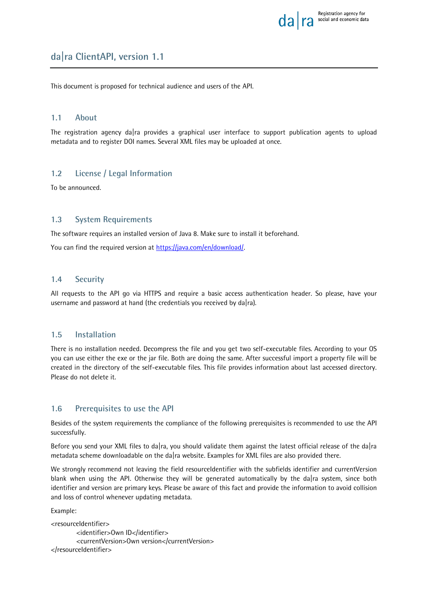

# **da|ra ClientAPI, version 1.1**

This document is proposed for technical audience and users of the API.

### **1.1 About**

The registration agency da|ra provides a graphical user interface to support publication agents to upload metadata and to register DOI names. Several XML files may be uploaded at once.

### **1.2 License / Legal Information**

To be announced.

### **1.3 System Requirements**

The software requires an installed version of Java 8. Make sure to install it beforehand.

You can find the required version at [https://java.com/en/download/.](https://java.com/en/download/)

### **1.4 Security**

All requests to the API go via HTTPS and require a basic access authentication header. So please, have your username and password at hand (the credentials you received by da|ra).

### **1.5 Installation**

There is no installation needed. Decompress the file and you get two self-executable files. According to your OS you can use either the exe or the jar file. Both are doing the same. After successful import a property file will be created in the directory of the self-executable files. This file provides information about last accessed directory. Please do not delete it.

### **1.6 Prerequisites to use the API**

Besides of the system requirements the compliance of the following prerequisites is recommended to use the API successfully.

Before you send your XML files to da|ra, you should validate them against the latest official release of the da|ra metadata scheme downloadable on the da|ra website. Examples for XML files are also provided there.

We strongly recommend not leaving the field resourceIdentifier with the subfields identifier and currentVersion blank when using the API. Otherwise they will be generated automatically by the da|ra system, since both identifier and version are primary keys. Please be aware of this fact and provide the information to avoid collision and loss of control whenever updating metadata.

Example:

```
<resourceIdentifier>
        <identifier>Own ID</identifier>
        <currentVersion>Own version</currentVersion>
</resourceIdentifier>
```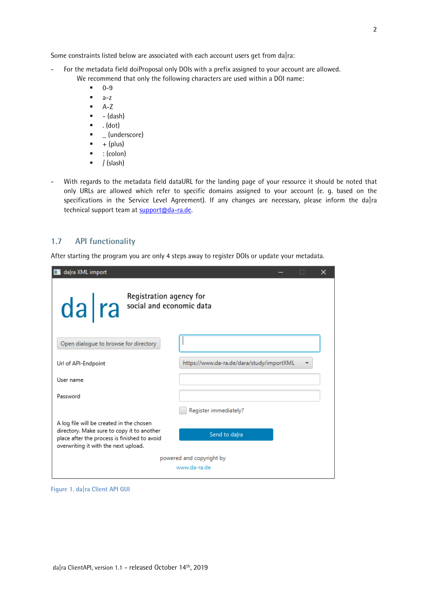Some constraints listed below are associated with each account users get from da|ra:

- For the metadata field doiProposal only DOIs with a prefix assigned to your account are allowed. We recommend that only the following characters are used within a DOI name:
	- 0-9
	- $a-z$
	- $A-Z$
	- $\bullet$  (dash)
	- $\bullet$  . (dot)
	- $\blacksquare$  (underscore)
	- $\bullet$  + (plus)
	- $\bullet$  : (colon)
	- $\bullet$  / (slash)
- With regards to the metadata field dataURL for the landing page of your resource it should be noted that only URLs are allowed which refer to specific domains assigned to your account (e. g. based on the specifications in the Service Level Agreement). If any changes are necessary, please inform the da|ra technical support team at [support@da-ra.de.](mailto:support@da-ra.de)

### **1.7 API functionality**

After starting the program you are only 4 steps away to register DOIs or update your metadata.

| da ra XML import                                                                                                                                                               | ×                                         |  |  |
|--------------------------------------------------------------------------------------------------------------------------------------------------------------------------------|-------------------------------------------|--|--|
| Registration agency for<br>da ra social and economic data                                                                                                                      |                                           |  |  |
| Open dialogue to browse for directory                                                                                                                                          |                                           |  |  |
| Url of API-Endpoint                                                                                                                                                            | https://www.da-ra.de/dara/study/importXML |  |  |
| User name                                                                                                                                                                      |                                           |  |  |
| Password                                                                                                                                                                       |                                           |  |  |
|                                                                                                                                                                                | Register immediately?                     |  |  |
| A log file will be created in the chosen<br>directory. Make sure to copy it to another<br>place after the process is finished to avoid<br>overwriting it with the next upload. | Send to da ra                             |  |  |
| powered and copyright by                                                                                                                                                       |                                           |  |  |
|                                                                                                                                                                                | www.da-ra.de                              |  |  |

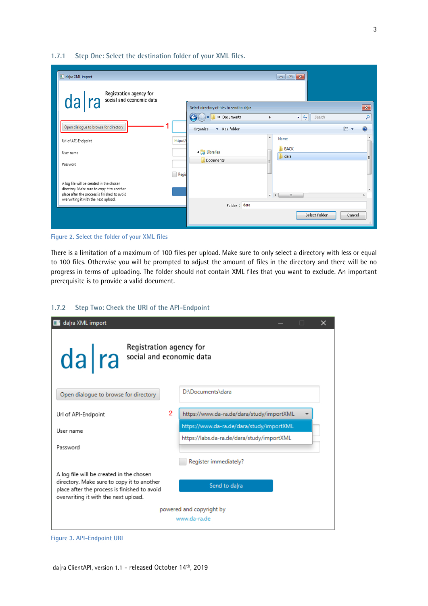#### **1.7.1 Step One: Select the destination folder of your XML files.**

| daļra XML import                                                                       |          |                                            |                          |                     |                           |               |        |              |
|----------------------------------------------------------------------------------------|----------|--------------------------------------------|--------------------------|---------------------|---------------------------|---------------|--------|--------------|
| Registration agency for<br>social and economic data                                    |          |                                            |                          |                     |                           |               |        |              |
| da ra                                                                                  |          | Select directory of files to send to da ra |                          |                     |                           |               |        | $\mathbf{x}$ |
|                                                                                        |          | $\bigodot$<br><b>K</b> Cocuments           | ١                        |                     | $\mathbf{v}$ $\mathbf{t}$ | Search        |        | ۹            |
| Open dialogue to browse for directory                                                  |          | Organize<br>v New folder                   |                          |                     |                           |               | 胆      | $\mathbf Q$  |
| Url of API-Endpoint                                                                    | https:// |                                            | ۸                        | Name                |                           |               |        |              |
| User name                                                                              |          | <b>A</b> Libraries                         |                          | <b>BACK</b><br>dara |                           |               |        |              |
| Password                                                                               |          | <b>Documents</b>                           | н                        |                     |                           |               |        |              |
|                                                                                        | Regis    |                                            |                          |                     |                           |               |        |              |
| A log file will be created in the chosen<br>directory. Make sure to copy it to another |          |                                            |                          |                     |                           |               |        |              |
| place after the process is finished to avoid<br>overwriting it with the next upload.   |          |                                            | $\overline{\phantom{a}}$ | Ш<br>$\overline{4}$ |                           |               |        |              |
|                                                                                        |          | Folder: dara                               |                          |                     |                           |               |        |              |
|                                                                                        |          |                                            |                          |                     |                           | Select Folder | Cancel |              |
|                                                                                        |          |                                            |                          |                     |                           |               |        |              |



There is a limitation of a maximum of 100 files per upload. Make sure to only select a directory with less or equal to 100 files. Otherwise you will be prompted to adjust the amount of files in the directory and there will be no progress in terms of uploading. The folder should not contain XML files that you want to exclude. An important prerequisite is to provide a valid document.

### **1.7.2 Step Two: Check the URI of the API-Endpoint**



#### **Figure 3. API-Endpoint URI**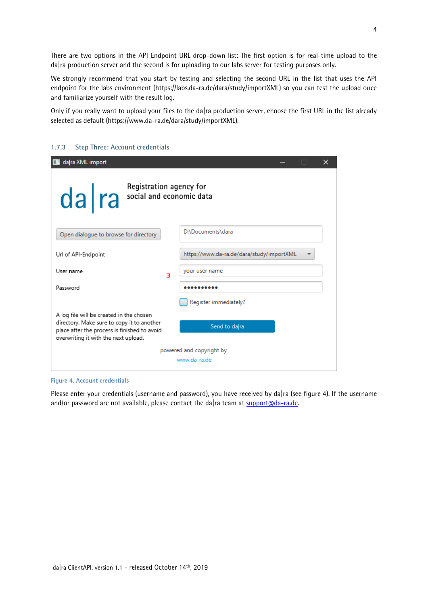There are two options in the API Endpoint URL drop-down list: The first option is for real-time upload to the da|ra production server and the second is for uploading to our labs server for testing purposes only.

We strongly recommend that you start by testing and selecting the second URL in the list that uses the API endpoint for the labs environment [\(https://labs.da-ra.de/dara/study/importXML\)](https://labs.da-ra.de/dara/study/importXML) so you can test the upload once and familiarize yourself with the result log.

Only if you really want to upload your files to the da|ra production server, choose the first URL in the list already selected as default [\(https://www.da-ra.de/dara/study/importXML\)](https://www.da-ra.de/dara/study/importXML).

| da ra XML import                                                                                                                                                               | ×<br>□                                    |  |  |
|--------------------------------------------------------------------------------------------------------------------------------------------------------------------------------|-------------------------------------------|--|--|
| Registration agency for<br>Capital and economic data                                                                                                                           |                                           |  |  |
| Open dialogue to browse for directory                                                                                                                                          | D:\Documents\dara                         |  |  |
| Url of API-Endpoint                                                                                                                                                            | https://www.da-ra.de/dara/study/importXML |  |  |
| User name<br>з                                                                                                                                                                 | your user name                            |  |  |
| Password                                                                                                                                                                       |                                           |  |  |
|                                                                                                                                                                                | Register immediately?                     |  |  |
| A log file will be created in the chosen<br>directory. Make sure to copy it to another<br>place after the process is finished to avoid<br>overwriting it with the next upload. | Send to dalra                             |  |  |
| powered and copyright by                                                                                                                                                       |                                           |  |  |
|                                                                                                                                                                                | www.da-ra.de                              |  |  |

### **1.7.3 Step Three: Account credentials**

#### **Figure 4. Account credentials**

Please enter your credentials (username and password), you have received by da|ra (see figure 4). If the username and/or password are not available, please contact the da|ra team at  $\frac{\text{support} \textcircled a\text{-} \text{rad}}{\text{e}}$ .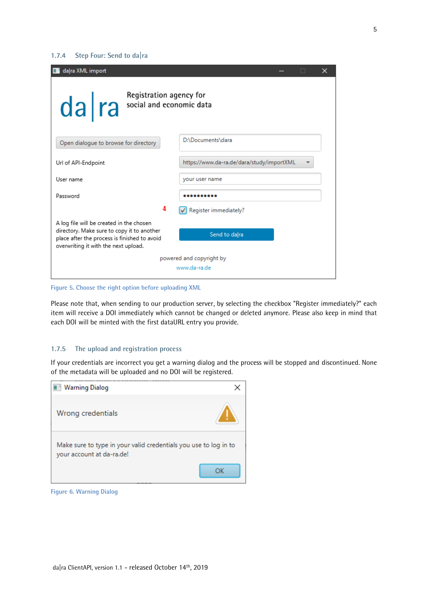### **1.7.4 Step Four: Send to da|ra**

| da ra XML import                                                                                                                                                               | ×<br>П                                    |  |  |
|--------------------------------------------------------------------------------------------------------------------------------------------------------------------------------|-------------------------------------------|--|--|
| Registration agency for<br>da ra social and economic data                                                                                                                      |                                           |  |  |
| Open dialogue to browse for directory                                                                                                                                          | D:\Documents\dara                         |  |  |
| Url of API-Endpoint                                                                                                                                                            | https://www.da-ra.de/dara/study/importXML |  |  |
| User name                                                                                                                                                                      | your user name                            |  |  |
| Password                                                                                                                                                                       |                                           |  |  |
| 4                                                                                                                                                                              | Register immediately?                     |  |  |
| A log file will be created in the chosen<br>directory. Make sure to copy it to another<br>place after the process is finished to avoid<br>overwriting it with the next upload. | Send to dalra                             |  |  |
| powered and copyright by                                                                                                                                                       |                                           |  |  |
|                                                                                                                                                                                | www.da-ra.de                              |  |  |

**Figure 5. Choose the right option before uploading XML**

Please note that, when sending to our production server, by selecting the checkbox "Register immediately?" each item will receive a DOI immediately which cannot be changed or deleted anymore. Please also keep in mind that each DOI will be minted with the first dataURL entry you provide.

### **1.7.5 The upload and registration process**

If your credentials are incorrect you get a warning dialog and the process will be stopped and discontinued. None of the metadata will be uploaded and no DOI will be registered.

| <b>Warning Dialog</b>                                                                         |  |
|-----------------------------------------------------------------------------------------------|--|
| Wrong credentials                                                                             |  |
| Make sure to type in your valid credentials you use to log in to<br>your account at da-ra.de! |  |
|                                                                                               |  |

**Figure 6. Warning Dialog**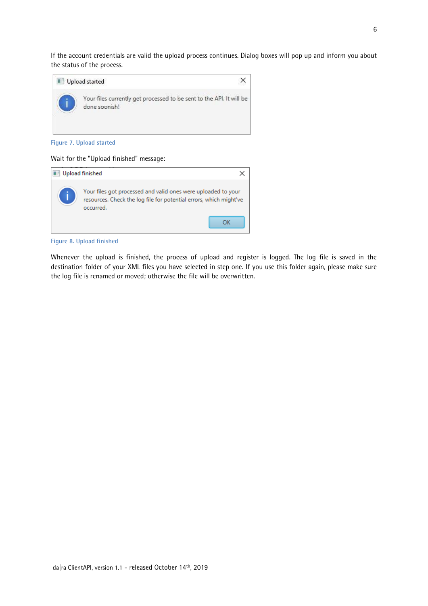If the account credentials are valid the upload process continues. Dialog boxes will pop up and inform you about the status of the process.



**Figure 7. Upload started**

### Wait for the "Upload finished" message:

| <b>Upload finished</b>                                                                                                                           |  |
|--------------------------------------------------------------------------------------------------------------------------------------------------|--|
| Your files got processed and valid ones were uploaded to your<br>resources. Check the log file for potential errors, which might've<br>occurred. |  |

#### **Figure 8. Upload finished**

Whenever the upload is finished, the process of upload and register is logged. The log file is saved in the destination folder of your XML files you have selected in step one. If you use this folder again, please make sure the log file is renamed or moved; otherwise the file will be overwritten.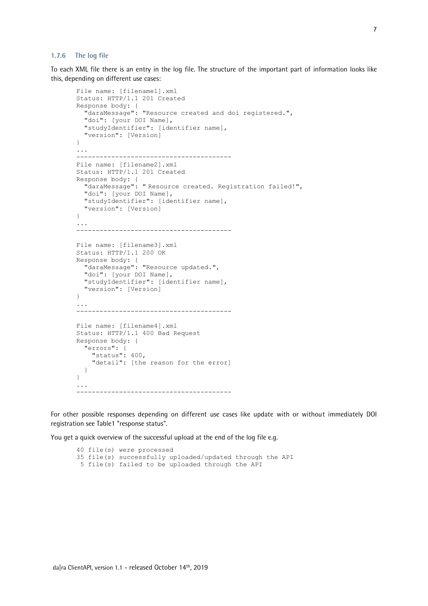#### **1.7.6 The log file**

To each XML file there is an entry in the log file. The structure of the important part of information looks like this, depending on different use cases:

```
File name: [filename1].xml
Status: HTTP/1.1 201 Created
Response body: {
   "daraMessage": "Resource created and doi registered.",
   "doi": [your DOI Name],
   "studyIdentifier": [identifier name],
   "version": [Version]
}
...
           ----------------------------------------
File name: [filename2].xml
Status: HTTP/1.1 201 Created
Response body: {
   "daraMessage": " Resource created. Registration failed!",
   "doi": [your DOI Name],
   "studyIdentifier": [identifier name],
   "version": [Version]
}
...
----------------------------------------
File name: [filename3].xml
Status: HTTP/1.1 200 OK
Response body: {
   "daraMessage": "Resource updated.",
  "doi": [your DOI Name],
   "studyIdentifier": [identifier name],
   "version": [Version]
}
...
----------------------------------------
File name: [filename4].xml
Status: HTTP/1.1 400 Bad Request
Response body: {
   "errors": {
     "status": 400,
     "detail": [the reason for the error]
   }
}
...
----------------------------------------
```
For other possible responses depending on different use cases like update with or without immediately DOI registration see Table1 "response status".

You get a quick overview of the successful upload at the end of the log file e.g.

```
40 file(s) were processed
35 file(s) successfully uploaded/updated through the API
5 file(s) failed to be uploaded through the API
```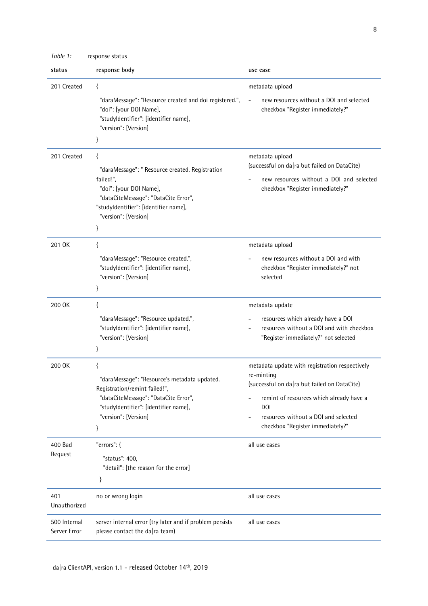| Table 1:            | response status                                                                                                                                                                                            |                                                                                                                                                                                                                                                    |
|---------------------|------------------------------------------------------------------------------------------------------------------------------------------------------------------------------------------------------------|----------------------------------------------------------------------------------------------------------------------------------------------------------------------------------------------------------------------------------------------------|
| status              | response body                                                                                                                                                                                              | use case                                                                                                                                                                                                                                           |
| 201 Created         | ₹                                                                                                                                                                                                          | metadata upload                                                                                                                                                                                                                                    |
|                     | "daraMessage": "Resource created and doi registered.",<br>"doi": [your DOI Name],<br>"studyldentifier": [identifier name],<br>"version": [Version]<br>}                                                    | new resources without a DOI and selected<br>checkbox "Register immediately?"                                                                                                                                                                       |
| 201 Created         | ₹<br>"daraMessage": " Resource created. Registration<br>failed!",<br>"doi": [your DOI Name],<br>"dataCiteMessage": "DataCite Error",<br>"studyldentifier": [identifier name],<br>"version": [Version]<br>} | metadata upload<br>(successful on da ra but failed on DataCite)<br>new resources without a DOI and selected<br>checkbox "Register immediately?"                                                                                                    |
| 201 OK              | $\{$                                                                                                                                                                                                       | metadata upload                                                                                                                                                                                                                                    |
|                     | "daraMessage": "Resource created.",<br>"studyldentifier": [identifier name],<br>"version": [Version]<br>}                                                                                                  | new resources without a DOI and with<br>checkbox "Register immediately?" not<br>selected                                                                                                                                                           |
| 200 OK              | $\{$                                                                                                                                                                                                       | metadata update                                                                                                                                                                                                                                    |
|                     | "daraMessage": "Resource updated.",<br>"studyldentifier": [identifier name],<br>"version": [Version]<br>ł                                                                                                  | resources which already have a DOI<br>resources without a DOI and with checkbox<br>"Register immediately?" not selected                                                                                                                            |
| 200 OK              | ₹<br>"daraMessage": "Resource's metadata updated.<br>Registration/remint failed!",<br>"dataCiteMessage": "DataCite Error",<br>"studyldentifier": [identifier name],<br>"version": [Version]<br>}           | metadata update with registration respectively<br>re-minting<br>(successful on da ra but failed on DataCite)<br>remint of resources which already have a<br><b>DOI</b><br>resources without a DOI and selected<br>checkbox "Register immediately?" |
| 400 Bad<br>Request  | "errors": {                                                                                                                                                                                                | all use cases                                                                                                                                                                                                                                      |
|                     | "status": 400,<br>"detail": [the reason for the error]<br>}                                                                                                                                                |                                                                                                                                                                                                                                                    |
| 401<br>Unauthorized | no or wrong login                                                                                                                                                                                          | all use cases                                                                                                                                                                                                                                      |
| 500 Internal        | server internal error (try later and if problem persists                                                                                                                                                   | all use cases                                                                                                                                                                                                                                      |

please contact the da|ra team)

Server Error